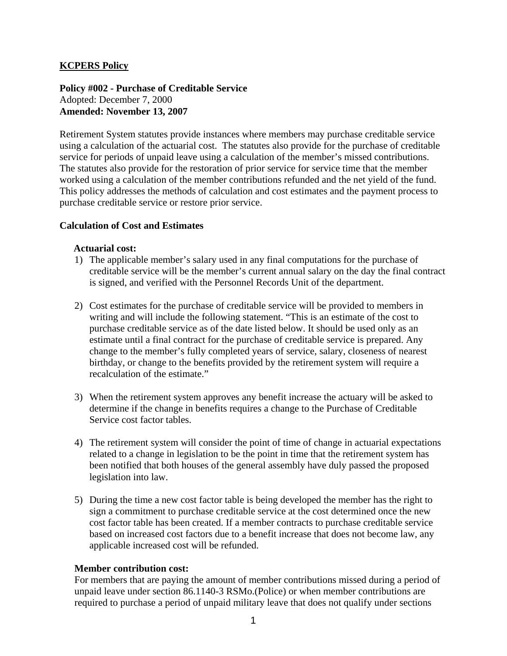# **KCPERS Policy**

**Policy #002 - Purchase of Creditable Service**  Adopted: December 7, 2000 **Amended: November 13, 2007** 

Retirement System statutes provide instances where members may purchase creditable service using a calculation of the actuarial cost. The statutes also provide for the purchase of creditable service for periods of unpaid leave using a calculation of the member's missed contributions. The statutes also provide for the restoration of prior service for service time that the member worked using a calculation of the member contributions refunded and the net yield of the fund. This policy addresses the methods of calculation and cost estimates and the payment process to purchase creditable service or restore prior service.

#### **Calculation of Cost and Estimates**

#### **Actuarial cost:**

- 1) The applicable member's salary used in any final computations for the purchase of creditable service will be the member's current annual salary on the day the final contract is signed, and verified with the Personnel Records Unit of the department.
- 2) Cost estimates for the purchase of creditable service will be provided to members in writing and will include the following statement. "This is an estimate of the cost to purchase creditable service as of the date listed below. It should be used only as an estimate until a final contract for the purchase of creditable service is prepared. Any change to the member's fully completed years of service, salary, closeness of nearest birthday, or change to the benefits provided by the retirement system will require a recalculation of the estimate."
- 3) When the retirement system approves any benefit increase the actuary will be asked to determine if the change in benefits requires a change to the Purchase of Creditable Service cost factor tables.
- 4) The retirement system will consider the point of time of change in actuarial expectations related to a change in legislation to be the point in time that the retirement system has been notified that both houses of the general assembly have duly passed the proposed legislation into law.
- 5) During the time a new cost factor table is being developed the member has the right to sign a commitment to purchase creditable service at the cost determined once the new cost factor table has been created. If a member contracts to purchase creditable service based on increased cost factors due to a benefit increase that does not become law, any applicable increased cost will be refunded.

#### **Member contribution cost:**

For members that are paying the amount of member contributions missed during a period of unpaid leave under section 86.1140-3 RSMo.(Police) or when member contributions are required to purchase a period of unpaid military leave that does not qualify under sections